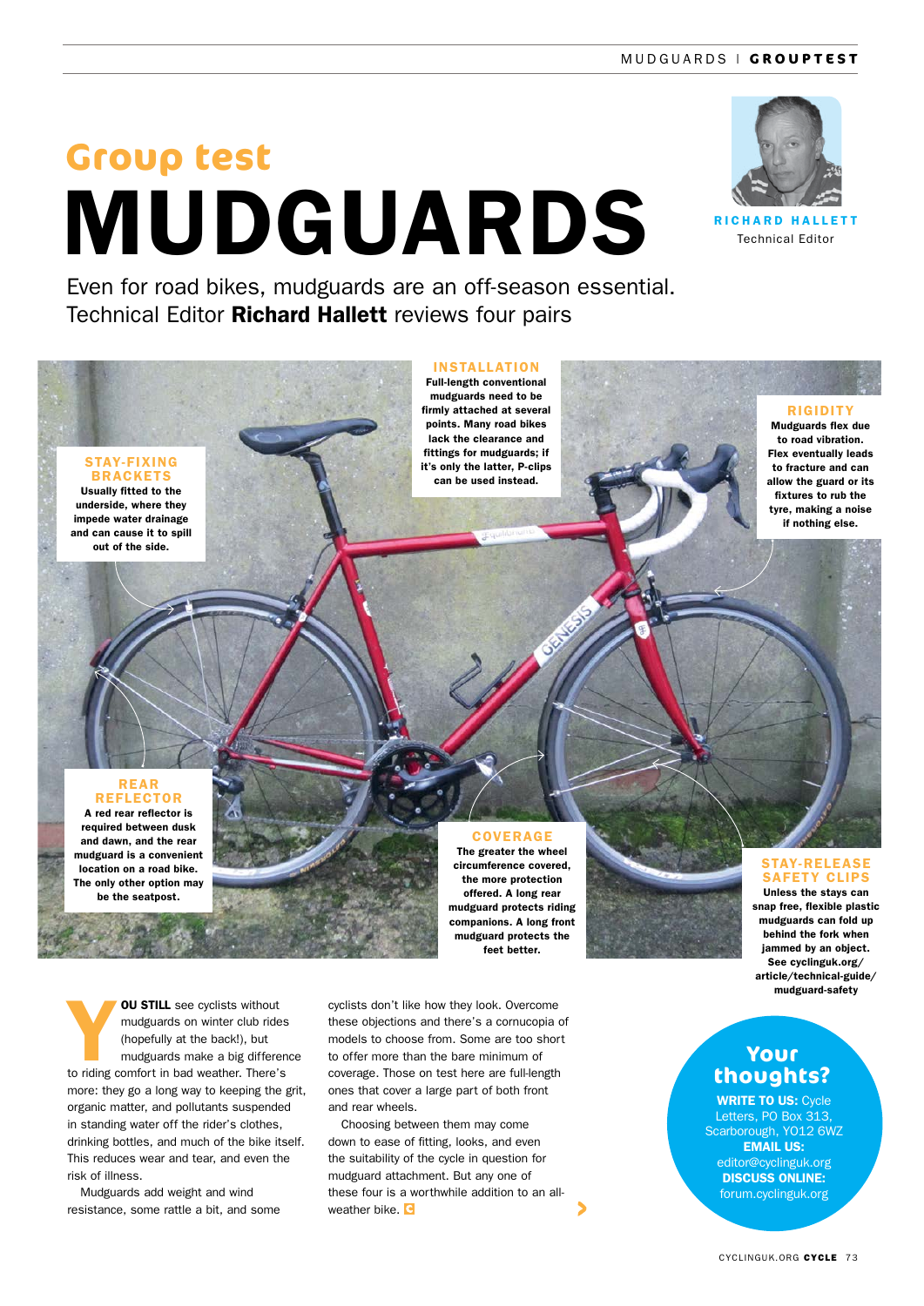# MUDGUARDS **Group test**



**RICHARD HALLETT** Technical Editor

Even for road bikes, mudguards are an off-season essential. Technical Editor **Richard Hallett** reviews four pairs

### STAY-FIXING

**BRACKETS** Usually fitted to the underside, where they impede water drainage and can cause it to spill out of the side.

#### INSTALLATION

Full-length conventional mudguards need to be firmly attached at several points. Many road bikes lack the clearance and fittings for mudguards; if it's only the latter, P-clips can be used instead.



**RIGIDITY** Mudguards flex due to road vibration. Flex eventually leads to fracture and can allow the guard or its fixtures to rub the tyre, making a noise if nothing else.

#### REAR **REFLECTOR**

A red rear reflector is required between dusk and dawn, and the rear mudguard is a convenient location on a road bike. The only other option may be the seatpost.

**OU STILL** see cyclists without mudguards on winter club rides (hopefully at the back!), but mudguards make a big difference to riding comfort in bad weather. There's more: they go a long way to keeping the grit, organic matter, and pollutants suspended in standing water off the rider's clothes, drinking bottles, and much of the bike itself. This reduces wear and tear, and even the risk of illness.

Mudguards add weight and wind resistance, some rattle a bit, and some

cyclists don't like how they look. Overcome these objections and there's a cornucopia of models to choose from. Some are too short to offer more than the bare minimum of coverage. Those on test here are full-length ones that cover a large part of both front and rear wheels.

Choosing between them may come down to ease of fitting, looks, and even the suitability of the cycle in question for mudguard attachment. But any one of these four is a worthwhile addition to an allweather bike. C

# COVERAGE

The greater the wheel circumference covered, the more protection offered. A long rear mudguard protects riding companions. A long front mudguard protects the feet better.

#### STAY-RELEASE SAFFTY CLIPS Unless the stays can snap free, flexible plastic

mudguards can fold up behind the fork when jammed by an object. See cyclinguk.org/ article/technical-guide/ mudguard-safety

# **Your thoughts?**

WRITE TO US: Cycle Letters, PO Box 313, Scarborough, YO12 6WZ EMAIL US: editor@cyclinguk.org DISCUSS ONLINE: forum.cyclinguk.org